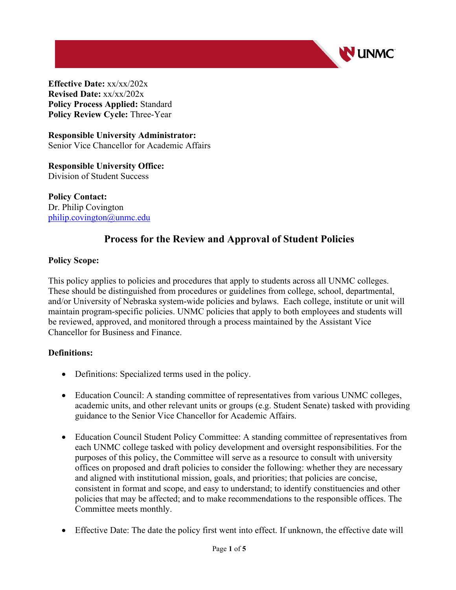

**Effective Date:** xx/xx/202x **Revised Date:** xx/xx/202x **Policy Process Applied:** Standard **Policy Review Cycle:** Three-Year

**Responsible University Administrator:** Senior Vice Chancellor for Academic Affairs

**Responsible University Office:** Division of Student Success

**Policy Contact:**  Dr. Philip Covington [philip.covington@unmc.edu](mailto:philip.covington@unmc.edu) 

# **Process for the Review and Approval of Student Policies**

## **Policy Scope:**

This policy applies to policies and procedures that apply to students across all UNMC colleges. These should be distinguished from procedures or guidelines from college, school, departmental, and/or University of Nebraska system-wide policies and bylaws. Each college, institute or unit will maintain program-specific policies. UNMC policies that apply to both employees and students will be reviewed, approved, and monitored through a process maintained by the Assistant Vice Chancellor for Business and Finance.

## **Definitions:**

- Definitions: Specialized terms used in the policy.
- Education Council: A standing committee of representatives from various UNMC colleges, academic units, and other relevant units or groups (e.g. Student Senate) tasked with providing guidance to the Senior Vice Chancellor for Academic Affairs.
- Education Council Student Policy Committee: A standing committee of representatives from each UNMC college tasked with policy development and oversight responsibilities. For the purposes of this policy, the Committee will serve as a resource to consult with university offices on proposed and draft policies to consider the following: whether they are necessary and aligned with institutional mission, goals, and priorities; that policies are concise, consistent in format and scope, and easy to understand; to identify constituencies and other policies that may be affected; and to make recommendations to the responsible offices. The Committee meets monthly.
- Effective Date: The date the policy first went into effect. If unknown, the effective date will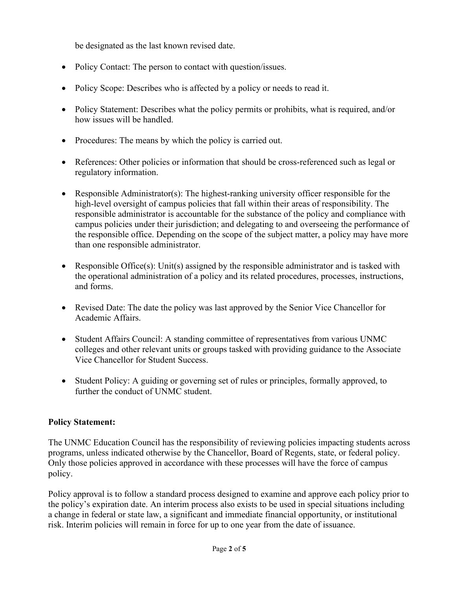be designated as the last known revised date.

- Policy Contact: The person to contact with question/issues.
- Policy Scope: Describes who is affected by a policy or needs to read it.
- Policy Statement: Describes what the policy permits or prohibits, what is required, and/or how issues will be handled.
- Procedures: The means by which the policy is carried out.
- References: Other policies or information that should be cross-referenced such as legal or regulatory information.
- Responsible Administrator(s): The highest-ranking university officer responsible for the high-level oversight of campus policies that fall within their areas of responsibility. The responsible administrator is accountable for the substance of the policy and compliance with campus policies under their jurisdiction; and delegating to and overseeing the performance of the responsible office. Depending on the scope of the subject matter, a policy may have more than one responsible administrator.
- Responsible Office(s): Unit(s) assigned by the responsible administrator and is tasked with the operational administration of a policy and its related procedures, processes, instructions, and forms.
- Revised Date: The date the policy was last approved by the Senior Vice Chancellor for Academic Affairs.
- Student Affairs Council: A standing committee of representatives from various UNMC colleges and other relevant units or groups tasked with providing guidance to the Associate Vice Chancellor for Student Success.
- Student Policy: A guiding or governing set of rules or principles, formally approved, to further the conduct of UNMC student.

# **Policy Statement:**

The UNMC Education Council has the responsibility of reviewing policies impacting students across programs, unless indicated otherwise by the Chancellor, Board of Regents, state, or federal policy. Only those policies approved in accordance with these processes will have the force of campus policy.

Policy approval is to follow a standard process designed to examine and approve each policy prior to the policy's expiration date. An interim process also exists to be used in special situations including a change in federal or state law, a significant and immediate financial opportunity, or institutional risk. Interim policies will remain in force for up to one year from the date of issuance.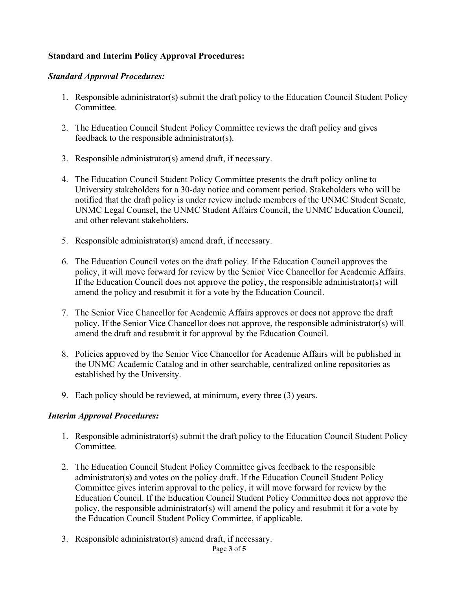## **Standard and Interim Policy Approval Procedures:**

#### *Standard Approval Procedures:*

- 1. Responsible administrator(s) submit the draft policy to the Education Council Student Policy Committee.
- 2. The Education Council Student Policy Committee reviews the draft policy and gives feedback to the responsible administrator(s).
- 3. Responsible administrator(s) amend draft, if necessary.
- 4. The Education Council Student Policy Committee presents the draft policy online to University stakeholders for a 30-day notice and comment period. Stakeholders who will be notified that the draft policy is under review include members of the UNMC Student Senate, UNMC Legal Counsel, the UNMC Student Affairs Council, the UNMC Education Council, and other relevant stakeholders.
- 5. Responsible administrator(s) amend draft, if necessary.
- 6. The Education Council votes on the draft policy. If the Education Council approves the policy, it will move forward for review by the Senior Vice Chancellor for Academic Affairs. If the Education Council does not approve the policy, the responsible administrator(s) will amend the policy and resubmit it for a vote by the Education Council.
- 7. The Senior Vice Chancellor for Academic Affairs approves or does not approve the draft policy. If the Senior Vice Chancellor does not approve, the responsible administrator(s) will amend the draft and resubmit it for approval by the Education Council.
- 8. Policies approved by the Senior Vice Chancellor for Academic Affairs will be published in the UNMC Academic Catalog and in other searchable, centralized online repositories as established by the University.
- 9. Each policy should be reviewed, at minimum, every three (3) years.

## *Interim Approval Procedures:*

- 1. Responsible administrator(s) submit the draft policy to the Education Council Student Policy Committee.
- 2. The Education Council Student Policy Committee gives feedback to the responsible administrator(s) and votes on the policy draft. If the Education Council Student Policy Committee gives interim approval to the policy, it will move forward for review by the Education Council. If the Education Council Student Policy Committee does not approve the policy, the responsible administrator(s) will amend the policy and resubmit it for a vote by the Education Council Student Policy Committee, if applicable.
- Page **3** of **5** 3. Responsible administrator(s) amend draft, if necessary.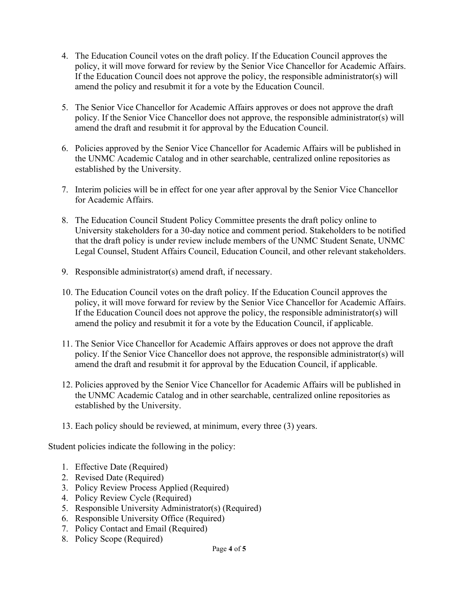- 4. The Education Council votes on the draft policy. If the Education Council approves the policy, it will move forward for review by the Senior Vice Chancellor for Academic Affairs. If the Education Council does not approve the policy, the responsible administrator(s) will amend the policy and resubmit it for a vote by the Education Council.
- 5. The Senior Vice Chancellor for Academic Affairs approves or does not approve the draft policy. If the Senior Vice Chancellor does not approve, the responsible administrator(s) will amend the draft and resubmit it for approval by the Education Council.
- 6. Policies approved by the Senior Vice Chancellor for Academic Affairs will be published in the UNMC Academic Catalog and in other searchable, centralized online repositories as established by the University.
- 7. Interim policies will be in effect for one year after approval by the Senior Vice Chancellor for Academic Affairs.
- 8. The Education Council Student Policy Committee presents the draft policy online to University stakeholders for a 30-day notice and comment period. Stakeholders to be notified that the draft policy is under review include members of the UNMC Student Senate, UNMC Legal Counsel, Student Affairs Council, Education Council, and other relevant stakeholders.
- 9. Responsible administrator(s) amend draft, if necessary.
- 10. The Education Council votes on the draft policy. If the Education Council approves the policy, it will move forward for review by the Senior Vice Chancellor for Academic Affairs. If the Education Council does not approve the policy, the responsible administrator(s) will amend the policy and resubmit it for a vote by the Education Council, if applicable.
- 11. The Senior Vice Chancellor for Academic Affairs approves or does not approve the draft policy. If the Senior Vice Chancellor does not approve, the responsible administrator(s) will amend the draft and resubmit it for approval by the Education Council, if applicable.
- 12. Policies approved by the Senior Vice Chancellor for Academic Affairs will be published in the UNMC Academic Catalog and in other searchable, centralized online repositories as established by the University.
- 13. Each policy should be reviewed, at minimum, every three (3) years.

Student policies indicate the following in the policy:

- 1. Effective Date (Required)
- 2. Revised Date (Required)
- 3. Policy Review Process Applied (Required)
- 4. Policy Review Cycle (Required)
- 5. Responsible University Administrator(s) (Required)
- 6. Responsible University Office (Required)
- 7. Policy Contact and Email (Required)
- 8. Policy Scope (Required)